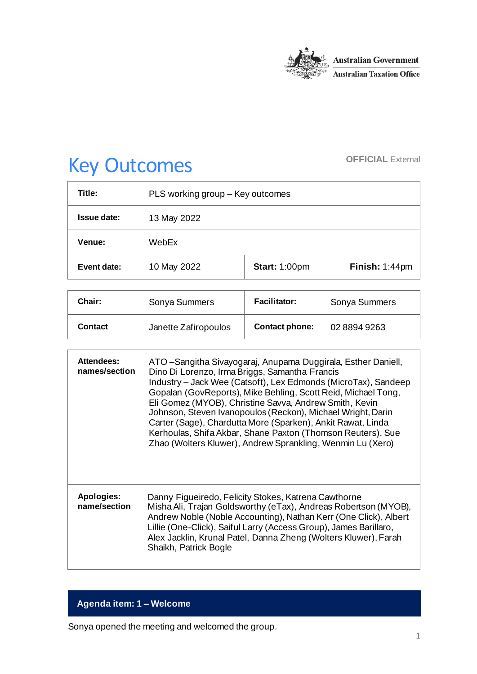

# Key Outcomes **OFFICIAL External**

| PLS working group - Key outcomes |                      |                |
|----------------------------------|----------------------|----------------|
| 13 May 2022                      |                      |                |
| WebEx                            |                      |                |
| 10 May 2022                      | <b>Start: 1:00pm</b> | Finish: 1:44pm |
|                                  |                      |                |

| Chair:  | Sonya Summers        | <b>Facilitator:</b>   | Sonya Summers |
|---------|----------------------|-----------------------|---------------|
| Contact | Janette Zafiropoulos | <b>Contact phone:</b> | 02 8894 9263  |

| <b>Attendees:</b><br>names/section | ATO - Sangitha Sivayogaraj, Anupama Duggirala, Esther Daniell,<br>Dino Di Lorenzo, Irma Briggs, Samantha Francis<br>Industry - Jack Wee (Catsoft), Lex Edmonds (MicroTax), Sandeep<br>Gopalan (GovReports), Mike Behling, Scott Reid, Michael Tong,<br>Eli Gomez (MYOB), Christine Savva, Andrew Smith, Kevin<br>Johnson, Steven Ivanopoulos (Reckon), Michael Wright, Darin<br>Carter (Sage), Chardutta More (Sparken), Ankit Rawat, Linda<br>Kerhoulas, Shifa Akbar, Shane Paxton (Thomson Reuters), Sue<br>Zhao (Wolters Kluwer), Andrew Sprankling, Wenmin Lu (Xero) |
|------------------------------------|--------------------------------------------------------------------------------------------------------------------------------------------------------------------------------------------------------------------------------------------------------------------------------------------------------------------------------------------------------------------------------------------------------------------------------------------------------------------------------------------------------------------------------------------------------------------------|
| <b>Apologies:</b><br>name/section  | Danny Figueiredo, Felicity Stokes, Katrena Cawthorne<br>Misha Ali, Trajan Goldsworthy (eTax), Andreas Robertson (MYOB),<br>Andrew Noble (Noble Accounting), Nathan Kerr (One Click), Albert<br>Lillie (One-Click), Saiful Larry (Access Group), James Barillaro,<br>Alex Jacklin, Krunal Patel, Danna Zheng (Wolters Kluwer), Farah<br>Shaikh, Patrick Bogle                                                                                                                                                                                                             |

## **Agenda item: 1 – Welcome**

Sonya opened the meeting and welcomed the group.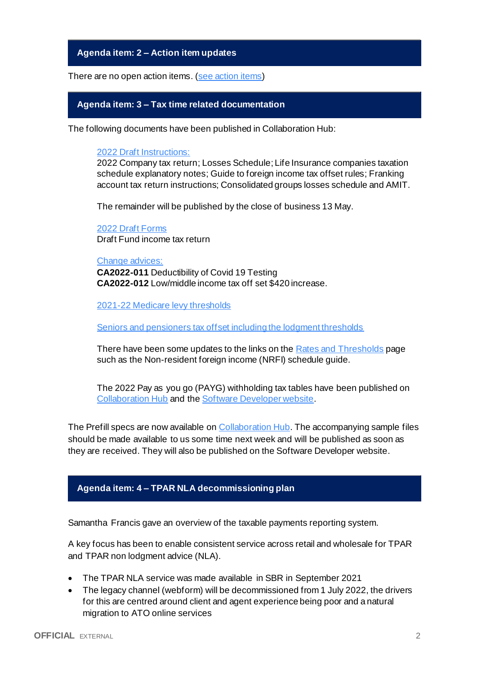**Agenda item: 2 – Action item updates**

There are no open action items. [\(see action items\)](https://developer.sbr.gov.au/collaborate/display/DSPCOLLAB/PLSWG+action+items)

#### **Agenda item: 3 – Tax time related documentation**

The following documents have been published in Collaboration Hub:

[2022 Draft Instructions:](https://developer.sbr.gov.au/collaborate/display/DSPCOLLAB/Tax+Time+2022)

2022 Company tax return; Losses Schedule; Life Insurance companies taxation schedule explanatory notes; Guide to foreign income tax offset rules; Franking account tax return instructions; Consolidated groups losses schedule and AMIT.

The remainder will be published by the close of business 13 May.

[2022 Draft Forms](https://developer.sbr.gov.au/collaborate/display/DSPCOLLAB/Tax+Time+2022) Draft Fund income tax return

[Change advices:](https://developer.sbr.gov.au/collaborate/display/DSPCOLLAB/Tax+Time+2022) **CA2022-011** Deductibility of Covid 19 Testing **CA2022-012** Low/middle income tax off set \$420 increase.

[2021-22 Medicare levy thresholds](https://developer.sbr.gov.au/collaborate/display/DSPCOLLAB/Medicare+levy+thresholds)

[Seniors and pensioners tax offset including the lodgment thresholds](https://developer.sbr.gov.au/collaborate/display/DSPCOLLAB/Seniors+and+pensioners+tax+offset)

There have been some updates to the links on th[e Rates and Thresholds](https://developer.sbr.gov.au/collaborate/display/DSPCOLLAB/Tax+Time+-+rates+and+thresholds) page such as the Non-resident foreign income (NRFI) schedule guide.

The 2022 Pay as you go (PAYG) withholding tax tables have been published on [Collaboration Hub](https://developer.sbr.gov.au/collaborate/display/DSPCOLLAB/2022+Pay+as+you+go+%28PAYG%29+withholding+tax+tables) and the [Software Developer website](https://softwaredevelopers.ato.gov.au/PAYGWTaxtables).

The Prefill specs are now available on [Collaboration Hub.](https://developer.sbr.gov.au/collaborate/display/DSPCOLLAB/2022+Pre-filling+report+-+Importing+data+into+tax+agent+software+specification) The accompanying sample files should be made available to us some time next week and will be published as soon as they are received. They will also be published on the Software Developer website.

## **Agenda item: 4 – TPAR NLA decommissioning plan**

Samantha Francis gave an overview of the taxable payments reporting system.

A key focus has been to enable consistent service across retail and wholesale for TPAR and TPAR non lodgment advice (NLA).

- The TPAR NLA service was made available in SBR in September 2021
- The legacy channel (webform) will be decommissioned from 1 July 2022, the drivers for this are centred around client and agent experience being poor and a natural migration to ATO online services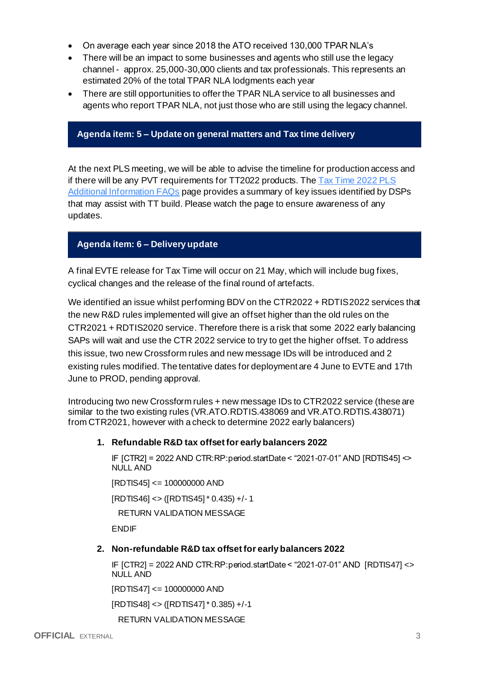- On average each year since 2018 the ATO received 130,000 TPAR NLA's
- There will be an impact to some businesses and agents who still use the legacy channel - approx. 25,000-30,000 clients and tax professionals. This represents an estimated 20% of the total TPAR NLA lodgments each year
- There are still opportunities to offer the TPAR NLA service to all businesses and agents who report TPAR NLA, not just those who are still using the legacy channel.

### **Agenda item: 5 – Update on general matters and Tax time delivery**

At the next PLS meeting, we will be able to advise the timeline for production access and if there will be any PVT requirements for TT2022 products. The  $\frac{7}{4}$  Time 2022 PLS [Additional Information FAQs](https://developer.sbr.gov.au/collaborate/display/DSPCOLLAB/Tax_time_2022_PLS_Additional_Information_FAQs) page provides a summary of key issues identified by DSPs that may assist with TT build. Please watch the page to ensure awareness of any updates.

## **Agenda item: 6 – Delivery update**

A final EVTE release for Tax Time will occur on 21 May, which will include bug fixes, cyclical changes and the release of the final round of artefacts.

We identified an issue whilst performing BDV on the CTR2022 + RDTIS2022 services that the new R&D rules implemented will give an offset higher than the old rules on the CTR2021 + RDTIS2020 service. Therefore there is a risk that some 2022 early balancing SAPs will wait and use the CTR 2022 service to try to get the higher offset. To address this issue, two new Crossform rules and new message IDs will be introduced and 2 existing rules modified. The tentative dates for deployment are 4 June to EVTE and 17th June to PROD, pending approval.

Introducing two new Crossform rules + new message IDs to CTR2022 service (these are similar to the two existing rules (VR.ATO.RDTIS.438069 and VR.ATO.RDTIS.438071) from CTR2021, however with a check to determine 2022 early balancers)

#### **1. Refundable R&D tax offset for early balancers 2022**

IF [CTR2] = 2022 AND CTR:RP:period.startDate < "2021-07-01" AND [RDTIS45] <> NULL AND

[RDTIS45] <= 100000000 AND

[RDTIS46] <> ([RDTIS45] \* 0.435) +/- 1

RETURN VALIDATION MESSAGE

ENDIF

#### **2. Non-refundable R&D tax offset for early balancers 2022**

IF [CTR2] = 2022 AND CTR:RP:period.startDate < "2021-07-01" AND [RDTIS47] <> NULL AND

[RDTIS47] <= 100000000 AND

[RDTIS48] <> ([RDTIS47] \* 0.385) +/-1

RETURN VALIDATION MESSAGE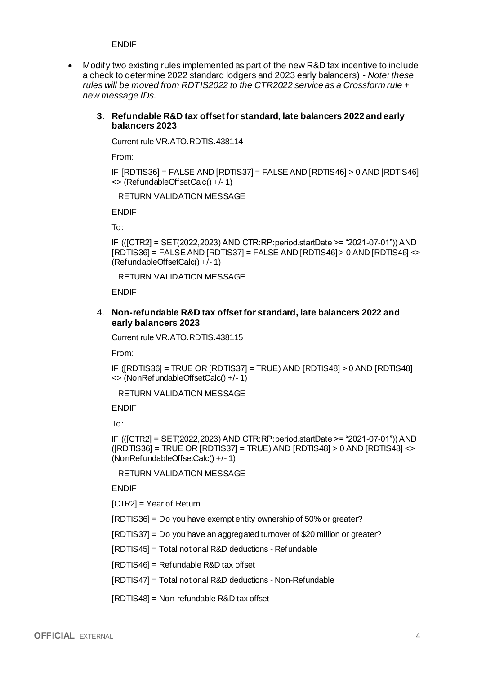ENDIF

• Modify two existing rules implemented as part of the new R&D tax incentive to include a check to determine 2022 standard lodgers and 2023 early balancers) - *Note: these rules will be moved from RDTIS2022 to the CTR2022 service as a Crossform rule + new message IDs.*

#### **3. Refundable R&D tax offset for standard, late balancers 2022 and early balancers 2023**

Current rule VR.ATO.RDTIS.438114

From:

IF [RDTIS36] = FALSE AND [RDTIS37] = FALSE AND [RDTIS46] > 0 AND [RDTIS46] <> (RefundableOffsetCalc() +/- 1)

RETURN VALIDATION MESSAGE

ENDIF

To:

IF (([CTR2] = SET(2022,2023) AND CTR:RP:period.startDate >= "2021-07-01")) AND  $[RDTIS36] = FALSE AND [RDTIS37] = FALSE AND [RDTIS46] > 0 AND [RDTIS46]  $\infty$$ (RefundableOffsetCalc() +/- 1)

RETURN VALIDATION MESSAGE

ENDIF

#### 4. **Non-refundable R&D tax offset for standard, late balancers 2022 and early balancers 2023**

Current rule VR.ATO.RDTIS.438115

From:

IF ([RDTIS36] = TRUE OR [RDTIS37] = TRUE) AND [RDTIS48] > 0 AND [RDTIS48] <> (NonRefundableOffsetCalc() +/- 1)

RETURN VALIDATION MESSAGE

ENDIF

To:

IF (([CTR2] = SET(2022,2023) AND CTR:RP:period.startDate >= "2021-07-01")) AND  $([RDTIS36] = TRUE \ OR \ [RDTIS37] = TRUE \ AND \ [RDTIS48] > 0 \ AND \ [RDTIS48] < \$ (NonRefundableOffsetCalc() +/- 1)

RETURN VALIDATION MESSAGE

ENDIF

[CTR2] = Year of Return

[RDTIS36] = Do you have exempt entity ownership of 50% or greater?

[RDTIS37] = Do you have an aggregated turnover of \$20 million or greater?

[RDTIS45] = Total notional R&D deductions - Refundable

[RDTIS46] = Refundable R&D tax offset

[RDTIS47] = Total notional R&D deductions - Non-Refundable

[RDTIS48] = Non-refundable R&D tax offset